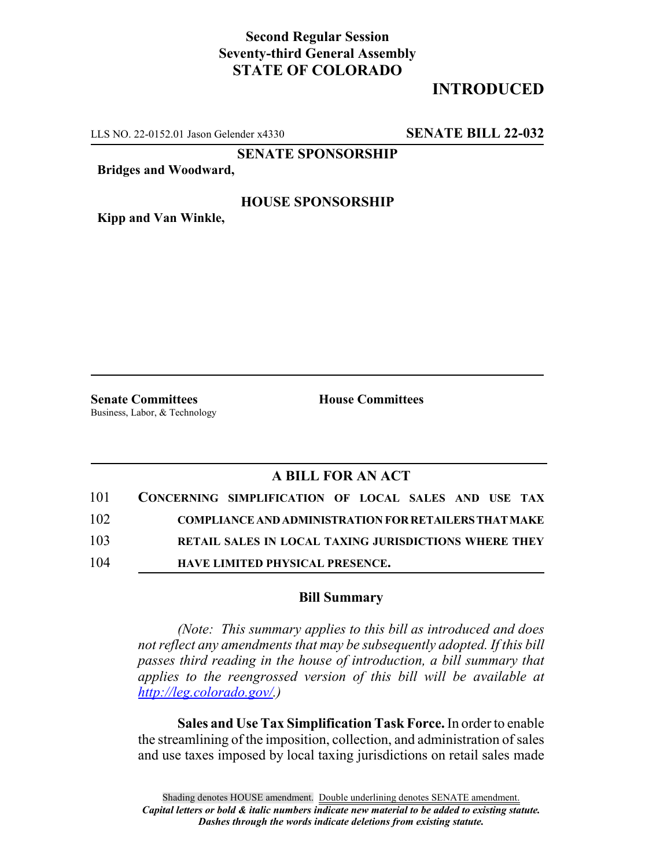## **Second Regular Session Seventy-third General Assembly STATE OF COLORADO**

# **INTRODUCED**

LLS NO. 22-0152.01 Jason Gelender x4330 **SENATE BILL 22-032**

**SENATE SPONSORSHIP**

**Bridges and Woodward,**

#### **HOUSE SPONSORSHIP**

**Kipp and Van Winkle,**

**Senate Committees House Committees** Business, Labor, & Technology

### **A BILL FOR AN ACT**

| 101 | CONCERNING SIMPLIFICATION OF LOCAL SALES AND USE TAX         |
|-----|--------------------------------------------------------------|
| 102 | <b>COMPLIANCE AND ADMINISTRATION FOR RETAILERS THAT MAKE</b> |
| 103 | <b>RETAIL SALES IN LOCAL TAXING JURISDICTIONS WHERE THEY</b> |
| 104 | <b>HAVE LIMITED PHYSICAL PRESENCE.</b>                       |

#### **Bill Summary**

*(Note: This summary applies to this bill as introduced and does not reflect any amendments that may be subsequently adopted. If this bill passes third reading in the house of introduction, a bill summary that applies to the reengrossed version of this bill will be available at http://leg.colorado.gov/.)*

**Sales and Use Tax Simplification Task Force.** In order to enable the streamlining of the imposition, collection, and administration of sales and use taxes imposed by local taxing jurisdictions on retail sales made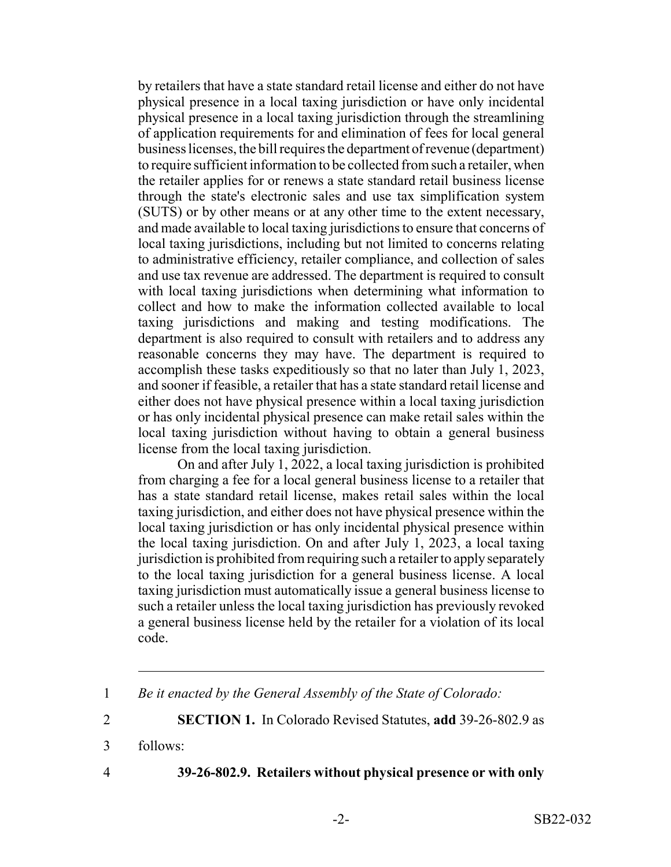by retailers that have a state standard retail license and either do not have physical presence in a local taxing jurisdiction or have only incidental physical presence in a local taxing jurisdiction through the streamlining of application requirements for and elimination of fees for local general business licenses, the bill requires the department of revenue (department) to require sufficient information to be collected from such a retailer, when the retailer applies for or renews a state standard retail business license through the state's electronic sales and use tax simplification system (SUTS) or by other means or at any other time to the extent necessary, and made available to local taxing jurisdictions to ensure that concerns of local taxing jurisdictions, including but not limited to concerns relating to administrative efficiency, retailer compliance, and collection of sales and use tax revenue are addressed. The department is required to consult with local taxing jurisdictions when determining what information to collect and how to make the information collected available to local taxing jurisdictions and making and testing modifications. The department is also required to consult with retailers and to address any reasonable concerns they may have. The department is required to accomplish these tasks expeditiously so that no later than July 1, 2023, and sooner if feasible, a retailer that has a state standard retail license and either does not have physical presence within a local taxing jurisdiction or has only incidental physical presence can make retail sales within the local taxing jurisdiction without having to obtain a general business license from the local taxing jurisdiction.

On and after July 1, 2022, a local taxing jurisdiction is prohibited from charging a fee for a local general business license to a retailer that has a state standard retail license, makes retail sales within the local taxing jurisdiction, and either does not have physical presence within the local taxing jurisdiction or has only incidental physical presence within the local taxing jurisdiction. On and after July 1, 2023, a local taxing jurisdiction is prohibited from requiring such a retailer to apply separately to the local taxing jurisdiction for a general business license. A local taxing jurisdiction must automatically issue a general business license to such a retailer unless the local taxing jurisdiction has previously revoked a general business license held by the retailer for a violation of its local code.

2 **SECTION 1.** In Colorado Revised Statutes, **add** 39-26-802.9 as

3 follows:

4 **39-26-802.9. Retailers without physical presence or with only**

<sup>1</sup> *Be it enacted by the General Assembly of the State of Colorado:*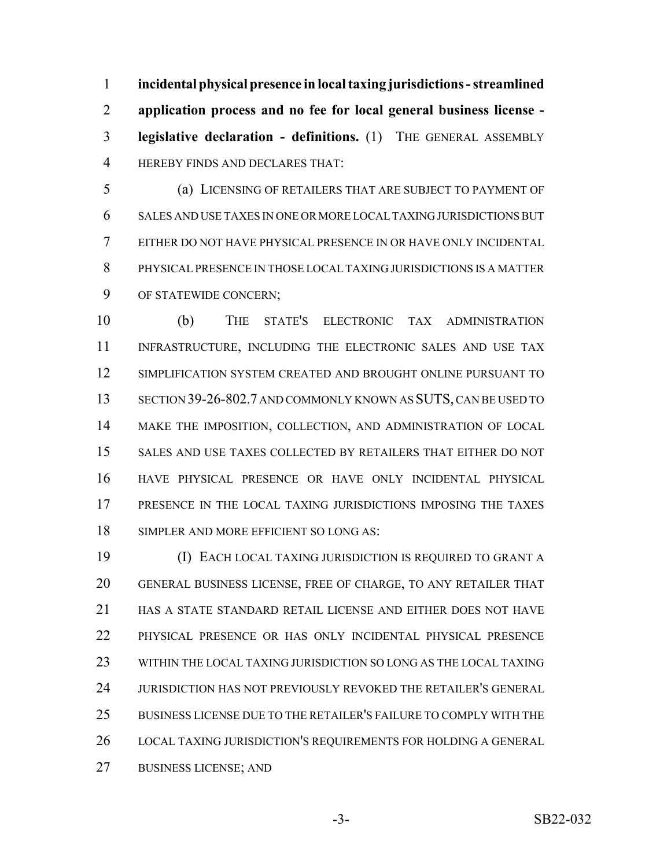**incidental physical presence in local taxing jurisdictions - streamlined application process and no fee for local general business license - legislative declaration - definitions.** (1) THE GENERAL ASSEMBLY HEREBY FINDS AND DECLARES THAT:

 (a) LICENSING OF RETAILERS THAT ARE SUBJECT TO PAYMENT OF SALES AND USE TAXES IN ONE OR MORE LOCAL TAXING JURISDICTIONS BUT EITHER DO NOT HAVE PHYSICAL PRESENCE IN OR HAVE ONLY INCIDENTAL PHYSICAL PRESENCE IN THOSE LOCAL TAXING JURISDICTIONS IS A MATTER OF STATEWIDE CONCERN;

 (b) THE STATE'S ELECTRONIC TAX ADMINISTRATION 11 INFRASTRUCTURE, INCLUDING THE ELECTRONIC SALES AND USE TAX SIMPLIFICATION SYSTEM CREATED AND BROUGHT ONLINE PURSUANT TO SECTION 39-26-802.7 AND COMMONLY KNOWN AS SUTS, CAN BE USED TO MAKE THE IMPOSITION, COLLECTION, AND ADMINISTRATION OF LOCAL SALES AND USE TAXES COLLECTED BY RETAILERS THAT EITHER DO NOT HAVE PHYSICAL PRESENCE OR HAVE ONLY INCIDENTAL PHYSICAL PRESENCE IN THE LOCAL TAXING JURISDICTIONS IMPOSING THE TAXES SIMPLER AND MORE EFFICIENT SO LONG AS:

 (I) EACH LOCAL TAXING JURISDICTION IS REQUIRED TO GRANT A GENERAL BUSINESS LICENSE, FREE OF CHARGE, TO ANY RETAILER THAT HAS A STATE STANDARD RETAIL LICENSE AND EITHER DOES NOT HAVE PHYSICAL PRESENCE OR HAS ONLY INCIDENTAL PHYSICAL PRESENCE WITHIN THE LOCAL TAXING JURISDICTION SO LONG AS THE LOCAL TAXING JURISDICTION HAS NOT PREVIOUSLY REVOKED THE RETAILER'S GENERAL BUSINESS LICENSE DUE TO THE RETAILER'S FAILURE TO COMPLY WITH THE LOCAL TAXING JURISDICTION'S REQUIREMENTS FOR HOLDING A GENERAL BUSINESS LICENSE; AND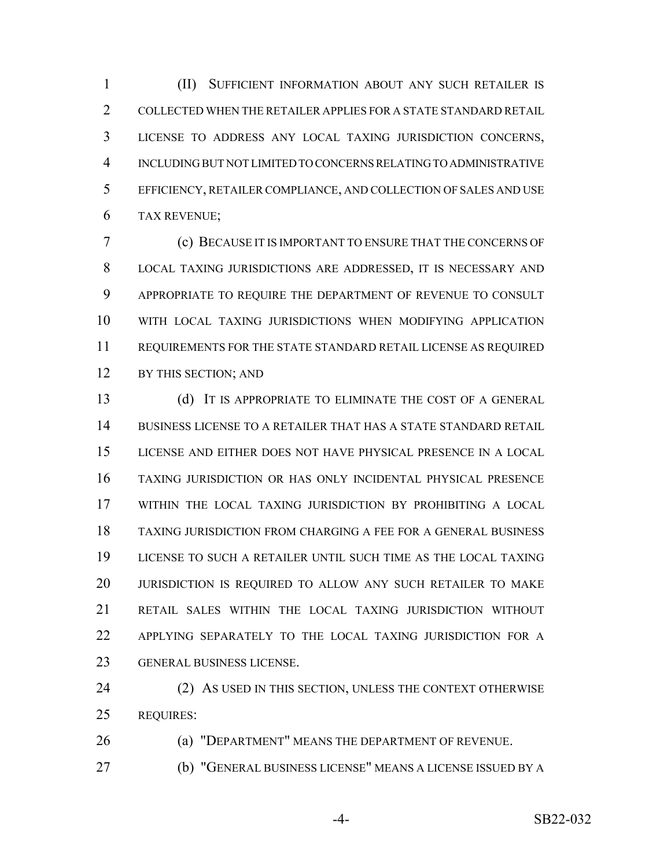(II) SUFFICIENT INFORMATION ABOUT ANY SUCH RETAILER IS COLLECTED WHEN THE RETAILER APPLIES FOR A STATE STANDARD RETAIL LICENSE TO ADDRESS ANY LOCAL TAXING JURISDICTION CONCERNS, INCLUDING BUT NOT LIMITED TO CONCERNS RELATING TO ADMINISTRATIVE EFFICIENCY, RETAILER COMPLIANCE, AND COLLECTION OF SALES AND USE TAX REVENUE;

 (c) BECAUSE IT IS IMPORTANT TO ENSURE THAT THE CONCERNS OF LOCAL TAXING JURISDICTIONS ARE ADDRESSED, IT IS NECESSARY AND APPROPRIATE TO REQUIRE THE DEPARTMENT OF REVENUE TO CONSULT WITH LOCAL TAXING JURISDICTIONS WHEN MODIFYING APPLICATION REQUIREMENTS FOR THE STATE STANDARD RETAIL LICENSE AS REQUIRED 12 BY THIS SECTION; AND

 (d) IT IS APPROPRIATE TO ELIMINATE THE COST OF A GENERAL BUSINESS LICENSE TO A RETAILER THAT HAS A STATE STANDARD RETAIL LICENSE AND EITHER DOES NOT HAVE PHYSICAL PRESENCE IN A LOCAL TAXING JURISDICTION OR HAS ONLY INCIDENTAL PHYSICAL PRESENCE WITHIN THE LOCAL TAXING JURISDICTION BY PROHIBITING A LOCAL TAXING JURISDICTION FROM CHARGING A FEE FOR A GENERAL BUSINESS LICENSE TO SUCH A RETAILER UNTIL SUCH TIME AS THE LOCAL TAXING JURISDICTION IS REQUIRED TO ALLOW ANY SUCH RETAILER TO MAKE RETAIL SALES WITHIN THE LOCAL TAXING JURISDICTION WITHOUT APPLYING SEPARATELY TO THE LOCAL TAXING JURISDICTION FOR A GENERAL BUSINESS LICENSE.

24 (2) AS USED IN THIS SECTION, UNLESS THE CONTEXT OTHERWISE REQUIRES:

(a) "DEPARTMENT" MEANS THE DEPARTMENT OF REVENUE.

(b) "GENERAL BUSINESS LICENSE" MEANS A LICENSE ISSUED BY A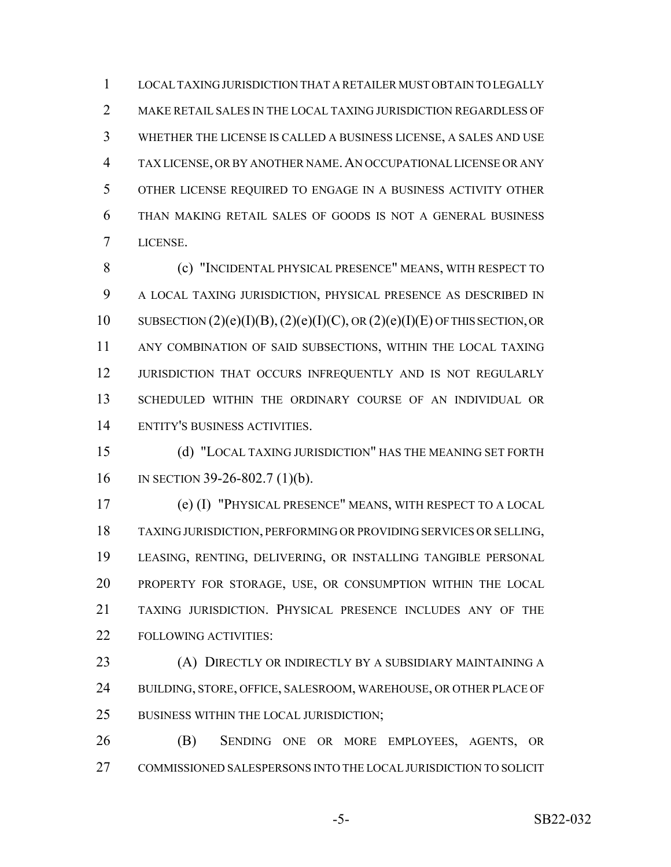LOCAL TAXING JURISDICTION THAT A RETAILER MUST OBTAIN TO LEGALLY MAKE RETAIL SALES IN THE LOCAL TAXING JURISDICTION REGARDLESS OF WHETHER THE LICENSE IS CALLED A BUSINESS LICENSE, A SALES AND USE TAX LICENSE, OR BY ANOTHER NAME.AN OCCUPATIONAL LICENSE OR ANY OTHER LICENSE REQUIRED TO ENGAGE IN A BUSINESS ACTIVITY OTHER THAN MAKING RETAIL SALES OF GOODS IS NOT A GENERAL BUSINESS LICENSE.

 (c) "INCIDENTAL PHYSICAL PRESENCE" MEANS, WITH RESPECT TO A LOCAL TAXING JURISDICTION, PHYSICAL PRESENCE AS DESCRIBED IN 10 SUBSECTION  $(2)(e)(I)(B)$ ,  $(2)(e)(I)(C)$ , OR  $(2)(e)(I)(E)$  OF THIS SECTION, OR ANY COMBINATION OF SAID SUBSECTIONS, WITHIN THE LOCAL TAXING 12 JURISDICTION THAT OCCURS INFREQUENTLY AND IS NOT REGULARLY SCHEDULED WITHIN THE ORDINARY COURSE OF AN INDIVIDUAL OR ENTITY'S BUSINESS ACTIVITIES.

 (d) "LOCAL TAXING JURISDICTION" HAS THE MEANING SET FORTH IN SECTION 39-26-802.7 (1)(b).

 (e) (I) "PHYSICAL PRESENCE" MEANS, WITH RESPECT TO A LOCAL TAXING JURISDICTION, PERFORMING OR PROVIDING SERVICES OR SELLING, LEASING, RENTING, DELIVERING, OR INSTALLING TANGIBLE PERSONAL PROPERTY FOR STORAGE, USE, OR CONSUMPTION WITHIN THE LOCAL TAXING JURISDICTION. PHYSICAL PRESENCE INCLUDES ANY OF THE FOLLOWING ACTIVITIES:

 (A) DIRECTLY OR INDIRECTLY BY A SUBSIDIARY MAINTAINING A BUILDING, STORE, OFFICE, SALESROOM, WAREHOUSE, OR OTHER PLACE OF 25 BUSINESS WITHIN THE LOCAL JURISDICTION;

 (B) SENDING ONE OR MORE EMPLOYEES, AGENTS, OR COMMISSIONED SALESPERSONS INTO THE LOCAL JURISDICTION TO SOLICIT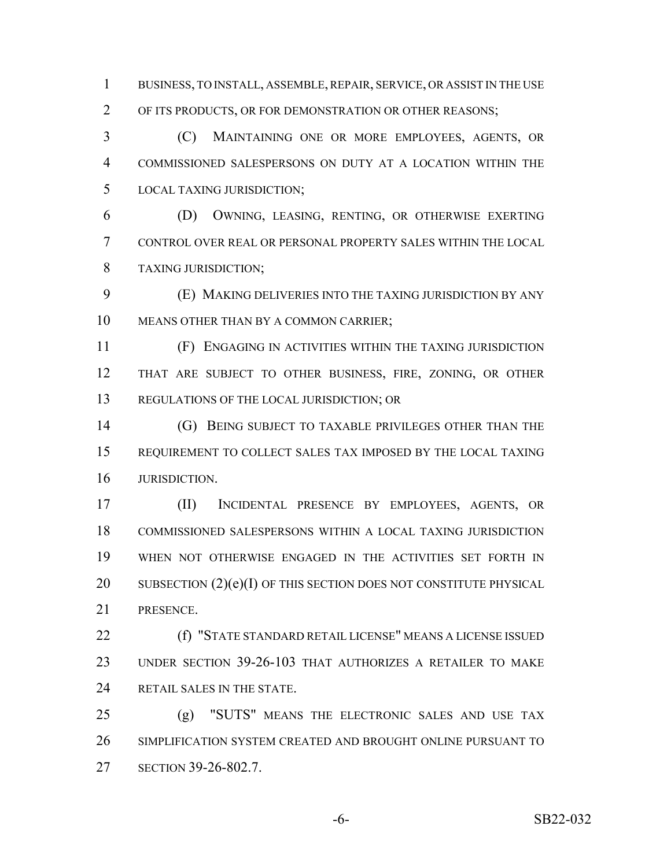BUSINESS, TO INSTALL, ASSEMBLE, REPAIR, SERVICE, OR ASSIST IN THE USE OF ITS PRODUCTS, OR FOR DEMONSTRATION OR OTHER REASONS;

 (C) MAINTAINING ONE OR MORE EMPLOYEES, AGENTS, OR COMMISSIONED SALESPERSONS ON DUTY AT A LOCATION WITHIN THE LOCAL TAXING JURISDICTION;

 (D) OWNING, LEASING, RENTING, OR OTHERWISE EXERTING CONTROL OVER REAL OR PERSONAL PROPERTY SALES WITHIN THE LOCAL TAXING JURISDICTION;

 (E) MAKING DELIVERIES INTO THE TAXING JURISDICTION BY ANY MEANS OTHER THAN BY A COMMON CARRIER;

 (F) ENGAGING IN ACTIVITIES WITHIN THE TAXING JURISDICTION THAT ARE SUBJECT TO OTHER BUSINESS, FIRE, ZONING, OR OTHER REGULATIONS OF THE LOCAL JURISDICTION; OR

 (G) BEING SUBJECT TO TAXABLE PRIVILEGES OTHER THAN THE REQUIREMENT TO COLLECT SALES TAX IMPOSED BY THE LOCAL TAXING JURISDICTION.

 (II) INCIDENTAL PRESENCE BY EMPLOYEES, AGENTS, OR COMMISSIONED SALESPERSONS WITHIN A LOCAL TAXING JURISDICTION WHEN NOT OTHERWISE ENGAGED IN THE ACTIVITIES SET FORTH IN 20 SUBSECTION  $(2)(e)(I)$  OF THIS SECTION DOES NOT CONSTITUTE PHYSICAL PRESENCE.

 (f) "STATE STANDARD RETAIL LICENSE" MEANS A LICENSE ISSUED UNDER SECTION 39-26-103 THAT AUTHORIZES A RETAILER TO MAKE RETAIL SALES IN THE STATE.

 (g) "SUTS" MEANS THE ELECTRONIC SALES AND USE TAX SIMPLIFICATION SYSTEM CREATED AND BROUGHT ONLINE PURSUANT TO SECTION 39-26-802.7.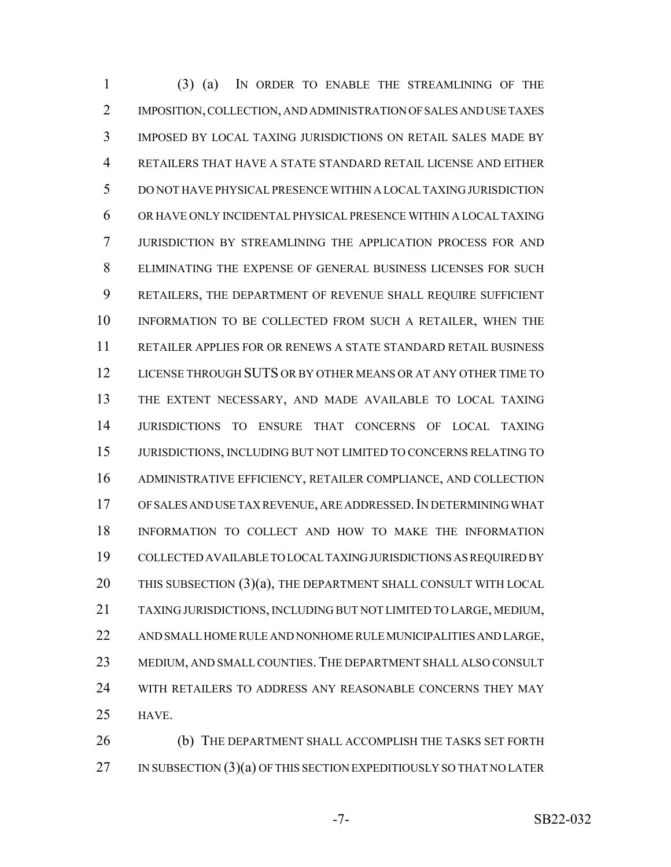(3) (a) IN ORDER TO ENABLE THE STREAMLINING OF THE IMPOSITION, COLLECTION, AND ADMINISTRATION OF SALES AND USE TAXES IMPOSED BY LOCAL TAXING JURISDICTIONS ON RETAIL SALES MADE BY RETAILERS THAT HAVE A STATE STANDARD RETAIL LICENSE AND EITHER DO NOT HAVE PHYSICAL PRESENCE WITHIN A LOCAL TAXING JURISDICTION OR HAVE ONLY INCIDENTAL PHYSICAL PRESENCE WITHIN A LOCAL TAXING JURISDICTION BY STREAMLINING THE APPLICATION PROCESS FOR AND ELIMINATING THE EXPENSE OF GENERAL BUSINESS LICENSES FOR SUCH RETAILERS, THE DEPARTMENT OF REVENUE SHALL REQUIRE SUFFICIENT INFORMATION TO BE COLLECTED FROM SUCH A RETAILER, WHEN THE RETAILER APPLIES FOR OR RENEWS A STATE STANDARD RETAIL BUSINESS LICENSE THROUGH SUTS OR BY OTHER MEANS OR AT ANY OTHER TIME TO THE EXTENT NECESSARY, AND MADE AVAILABLE TO LOCAL TAXING JURISDICTIONS TO ENSURE THAT CONCERNS OF LOCAL TAXING JURISDICTIONS, INCLUDING BUT NOT LIMITED TO CONCERNS RELATING TO ADMINISTRATIVE EFFICIENCY, RETAILER COMPLIANCE, AND COLLECTION OF SALES AND USE TAX REVENUE, ARE ADDRESSED.IN DETERMINING WHAT INFORMATION TO COLLECT AND HOW TO MAKE THE INFORMATION COLLECTED AVAILABLE TO LOCAL TAXING JURISDICTIONS AS REQUIRED BY THIS SUBSECTION (3)(a), THE DEPARTMENT SHALL CONSULT WITH LOCAL TAXING JURISDICTIONS, INCLUDING BUT NOT LIMITED TO LARGE, MEDIUM, AND SMALL HOME RULE AND NONHOME RULE MUNICIPALITIES AND LARGE, MEDIUM, AND SMALL COUNTIES.THE DEPARTMENT SHALL ALSO CONSULT WITH RETAILERS TO ADDRESS ANY REASONABLE CONCERNS THEY MAY HAVE.

 (b) THE DEPARTMENT SHALL ACCOMPLISH THE TASKS SET FORTH 27 IN SUBSECTION  $(3)(a)$  OF THIS SECTION EXPEDITIOUSLY SO THAT NO LATER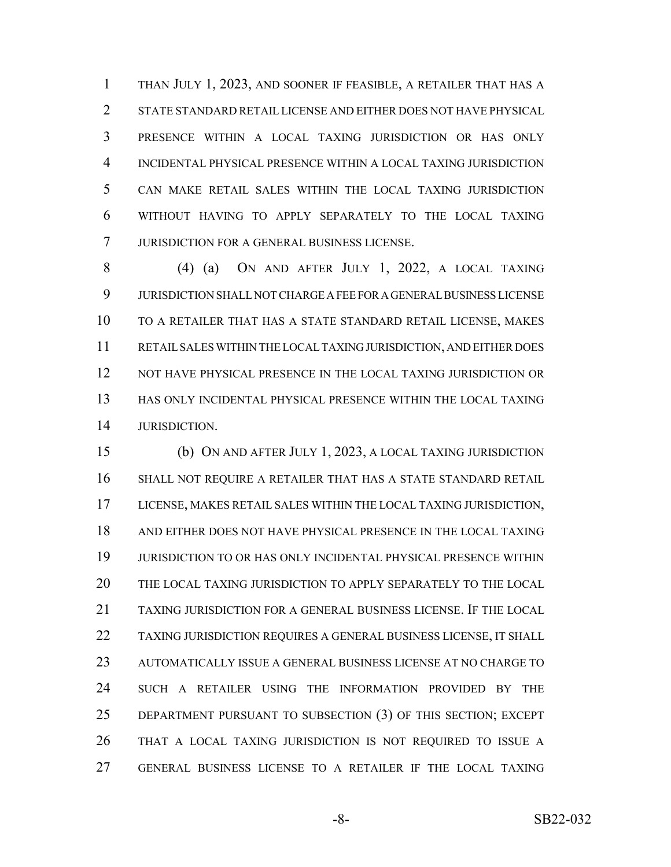THAN JULY 1, 2023, AND SOONER IF FEASIBLE, A RETAILER THAT HAS A STATE STANDARD RETAIL LICENSE AND EITHER DOES NOT HAVE PHYSICAL PRESENCE WITHIN A LOCAL TAXING JURISDICTION OR HAS ONLY INCIDENTAL PHYSICAL PRESENCE WITHIN A LOCAL TAXING JURISDICTION CAN MAKE RETAIL SALES WITHIN THE LOCAL TAXING JURISDICTION WITHOUT HAVING TO APPLY SEPARATELY TO THE LOCAL TAXING JURISDICTION FOR A GENERAL BUSINESS LICENSE.

 (4) (a) ON AND AFTER JULY 1, 2022, A LOCAL TAXING JURISDICTION SHALL NOT CHARGE A FEE FOR A GENERAL BUSINESS LICENSE TO A RETAILER THAT HAS A STATE STANDARD RETAIL LICENSE, MAKES RETAIL SALES WITHIN THE LOCAL TAXING JURISDICTION, AND EITHER DOES NOT HAVE PHYSICAL PRESENCE IN THE LOCAL TAXING JURISDICTION OR HAS ONLY INCIDENTAL PHYSICAL PRESENCE WITHIN THE LOCAL TAXING JURISDICTION.

 (b) ON AND AFTER JULY 1, 2023, A LOCAL TAXING JURISDICTION SHALL NOT REQUIRE A RETAILER THAT HAS A STATE STANDARD RETAIL LICENSE, MAKES RETAIL SALES WITHIN THE LOCAL TAXING JURISDICTION, AND EITHER DOES NOT HAVE PHYSICAL PRESENCE IN THE LOCAL TAXING JURISDICTION TO OR HAS ONLY INCIDENTAL PHYSICAL PRESENCE WITHIN THE LOCAL TAXING JURISDICTION TO APPLY SEPARATELY TO THE LOCAL TAXING JURISDICTION FOR A GENERAL BUSINESS LICENSE. IF THE LOCAL TAXING JURISDICTION REQUIRES A GENERAL BUSINESS LICENSE, IT SHALL AUTOMATICALLY ISSUE A GENERAL BUSINESS LICENSE AT NO CHARGE TO SUCH A RETAILER USING THE INFORMATION PROVIDED BY THE DEPARTMENT PURSUANT TO SUBSECTION (3) OF THIS SECTION; EXCEPT THAT A LOCAL TAXING JURISDICTION IS NOT REQUIRED TO ISSUE A GENERAL BUSINESS LICENSE TO A RETAILER IF THE LOCAL TAXING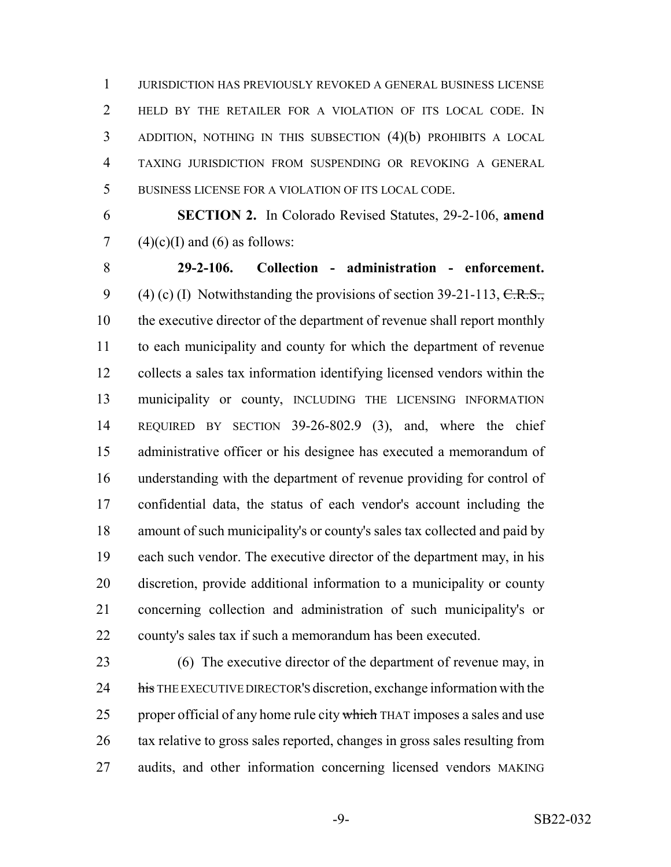JURISDICTION HAS PREVIOUSLY REVOKED A GENERAL BUSINESS LICENSE HELD BY THE RETAILER FOR A VIOLATION OF ITS LOCAL CODE. IN ADDITION, NOTHING IN THIS SUBSECTION (4)(b) PROHIBITS A LOCAL TAXING JURISDICTION FROM SUSPENDING OR REVOKING A GENERAL BUSINESS LICENSE FOR A VIOLATION OF ITS LOCAL CODE.

 **SECTION 2.** In Colorado Revised Statutes, 29-2-106, **amend** 7 (4)(c)(I) and (6) as follows:

 **29-2-106. Collection - administration - enforcement.** 9 (4) (c) (I) Notwithstanding the provisions of section  $39-21-113$ , C.R.S., the executive director of the department of revenue shall report monthly to each municipality and county for which the department of revenue collects a sales tax information identifying licensed vendors within the municipality or county, INCLUDING THE LICENSING INFORMATION REQUIRED BY SECTION 39-26-802.9 (3), and, where the chief administrative officer or his designee has executed a memorandum of understanding with the department of revenue providing for control of confidential data, the status of each vendor's account including the amount of such municipality's or county's sales tax collected and paid by each such vendor. The executive director of the department may, in his discretion, provide additional information to a municipality or county concerning collection and administration of such municipality's or county's sales tax if such a memorandum has been executed.

 (6) The executive director of the department of revenue may, in 24 his THE EXECUTIVE DIRECTOR's discretion, exchange information with the 25 proper official of any home rule city which THAT imposes a sales and use tax relative to gross sales reported, changes in gross sales resulting from audits, and other information concerning licensed vendors MAKING